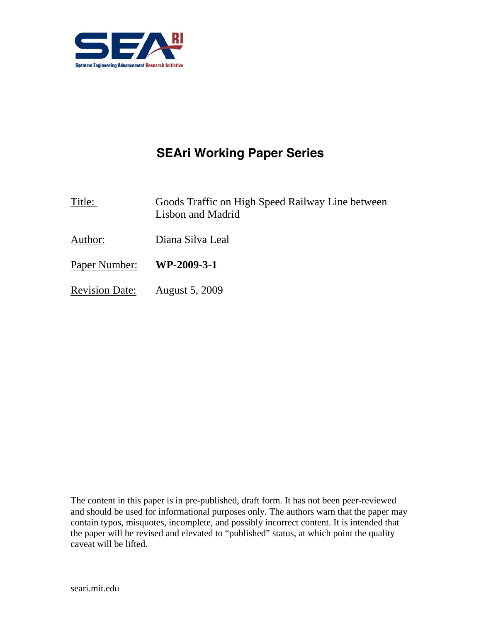

# **SEAri Working Paper Series**

- Title: Goods Traffic on High Speed Railway Line between Lisbon and Madrid
- Author: Diana Silva Leal
- Paper Number: **WP-2009-3-1**
- Revision Date: August 5, 2009

The content in this paper is in pre-published, draft form. It has not been peer-reviewed and should be used for informational purposes only. The authors warn that the paper may contain typos, misquotes, incomplete, and possibly incorrect content. It is intended that the paper will be revised and elevated to "published" status, at which point the quality caveat will be lifted.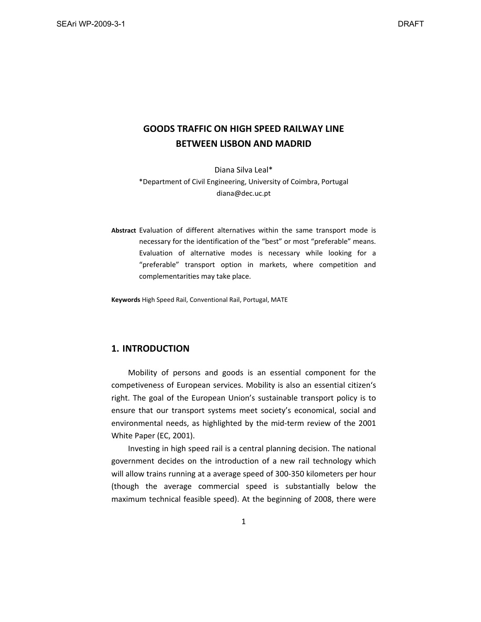## **GOODS TRAFFIC ON HIGH SPEED RAILWAY LINE BETWEEN LISBON AND MADRID**

Diana Silva Leal\* \*Department of Civil Engineering, University of Coimbra, Portugal diana@dec.uc.pt

**Abstract** Evaluation of different alternatives within the same transport mode is necessary for the identification of the "best" or most "preferable" means. Evaluation of alternative modes is necessary while looking for a "preferable" transport option in markets, where competition and complementarities may take place.

**Keywords** High Speed Rail, Conventional Rail, Portugal, MATE

## **1. INTRODUCTION**

Mobility of persons and goods is an essential component for the competiveness of European services. Mobility is also an essential citizen's right. The goal of the European Union's sustainable transport policy is to ensure that our transport systems meet society's economical, social and environmental needs, as highlighted by the mid‐term review of the 2001 White Paper (EC, 2001).

Investing in high speed rail is a central planning decision. The national government decides on the introduction of a new rail technology which will allow trains running at a average speed of 300‐350 kilometers per hour (though the average commercial speed is substantially below the maximum technical feasible speed). At the beginning of 2008, there were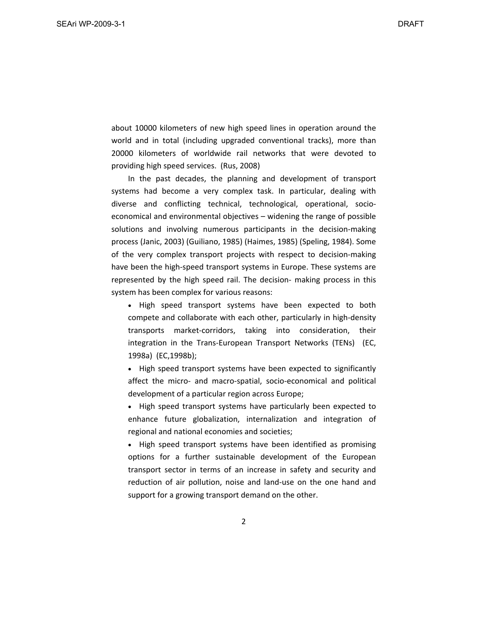about 10000 kilometers of new high speed lines in operation around the world and in total (including upgraded conventional tracks), more than 20000 kilometers of worldwide rail networks that were devoted to providing high speed services. (Rus, 2008)

In the past decades, the planning and development of transport systems had become a very complex task. In particular, dealing with diverse and conflicting technical, technological, operational, socio‐ economical and environmental objectives – widening the range of possible solutions and involving numerous participants in the decision-making process (Janic, 2003) (Guiliano, 1985) (Haimes, 1985) (Speling, 1984). Some of the very complex transport projects with respect to decision‐making have been the high-speed transport systems in Europe. These systems are represented by the high speed rail. The decision‐ making process in this system has been complex for various reasons:

 High speed transport systems have been expected to both compete and collaborate with each other, particularly in high‐density transports market‐corridors, taking into consideration, their integration in the Trans‐European Transport Networks (TENs) (EC, 1998a) (EC,1998b);

• High speed transport systems have been expected to significantly affect the micro‐ and macro‐spatial, socio‐economical and political development of a particular region across Europe;

 High speed transport systems have particularly been expected to enhance future globalization, internalization and integration of regional and national economies and societies;

• High speed transport systems have been identified as promising options for a further sustainable development of the European transport sector in terms of an increase in safety and security and reduction of air pollution, noise and land‐use on the one hand and support for a growing transport demand on the other.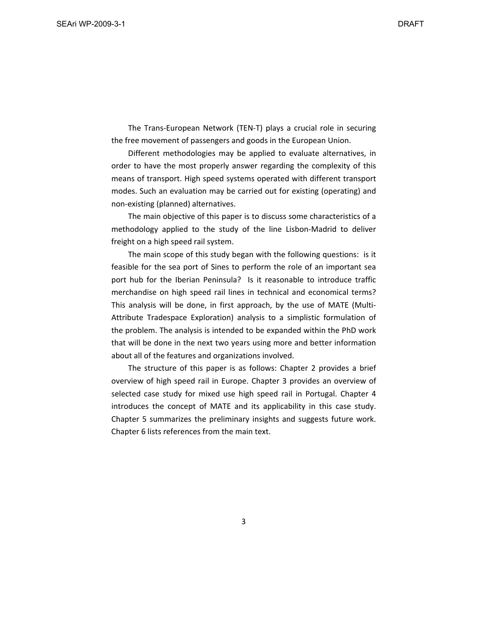The Trans‐European Network (TEN‐T) plays a crucial role in securing the free movement of passengers and goods in the European Union.

Different methodologies may be applied to evaluate alternatives, in order to have the most properly answer regarding the complexity of this means of transport. High speed systems operated with different transport modes. Such an evaluation may be carried out for existing (operating) and non‐existing (planned) alternatives.

The main objective of this paper is to discuss some characteristics of a methodology applied to the study of the line Lisbon‐Madrid to deliver freight on a high speed rail system.

The main scope of this study began with the following questions: is it feasible for the sea port of Sines to perform the role of an important sea port hub for the Iberian Peninsula? Is it reasonable to introduce traffic merchandise on high speed rail lines in technical and economical terms? This analysis will be done, in first approach, by the use of MATE (Multi‐ Attribute Tradespace Exploration) analysis to a simplistic formulation of the problem. The analysis is intended to be expanded within the PhD work that will be done in the next two years using more and better information about all of the features and organizations involved.

The structure of this paper is as follows: Chapter 2 provides a brief overview of high speed rail in Europe. Chapter 3 provides an overview of selected case study for mixed use high speed rail in Portugal. Chapter 4 introduces the concept of MATE and its applicability in this case study. Chapter 5 summarizes the preliminary insights and suggests future work. Chapter 6 lists references from the main text.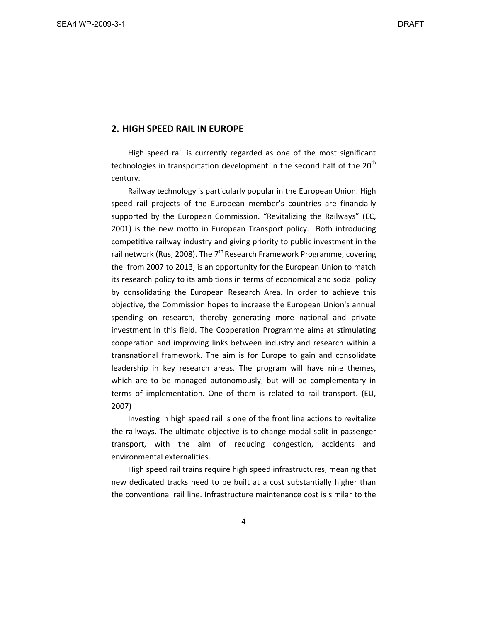## **2. HIGH SPEED RAIL IN EUROPE**

High speed rail is currently regarded as one of the most significant technologies in transportation development in the second half of the  $20<sup>th</sup>$ century.

Railway technology is particularly popular in the European Union. High speed rail projects of the European member's countries are financially supported by the European Commission. "Revitalizing the Railways" (EC, 2001) is the new motto in European Transport policy. Both introducing competitive railway industry and giving priority to public investment in the rail network (Rus, 2008). The  $7<sup>th</sup>$  Research Framework Programme, covering the from 2007 to 2013, is an opportunity for the European Union to match its research policy to its ambitions in terms of economical and social policy by consolidating the European Research Area. In order to achieve this objective, the Commission hopes to increase the European Union's annual spending on research, thereby generating more national and private investment in this field. The Cooperation Programme aims at stimulating cooperation and improving links between industry and research within a transnational framework. The aim is for Europe to gain and consolidate leadership in key research areas. The program will have nine themes, which are to be managed autonomously, but will be complementary in terms of implementation. One of them is related to rail transport. (EU, 2007)

Investing in high speed rail is one of the front line actions to revitalize the railways. The ultimate objective is to change modal split in passenger transport, with the aim of reducing congestion, accidents and environmental externalities.

High speed rail trains require high speed infrastructures, meaning that new dedicated tracks need to be built at a cost substantially higher than the conventional rail line. Infrastructure maintenance cost is similar to the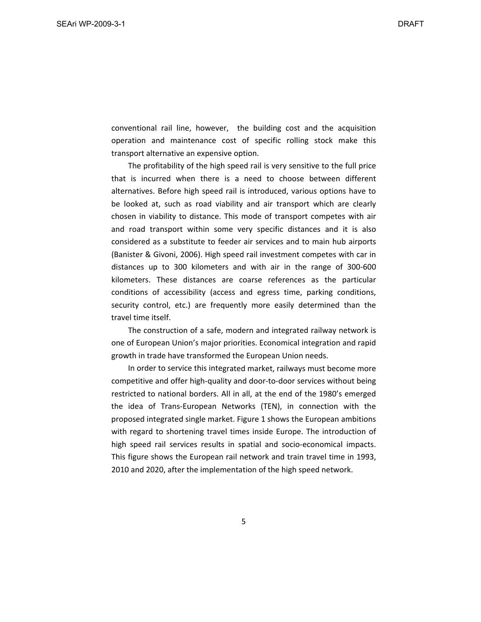conventional rail line, however, the building cost and the acquisition operation and maintenance cost of specific rolling stock make this transport alternative an expensive option.

The profitability of the high speed rail is very sensitive to the full price that is incurred when there is a need to choose between different alternatives. Before high speed rail is introduced, various options have to be looked at, such as road viability and air transport which are clearly chosen in viability to distance. This mode of transport competes with air and road transport within some very specific distances and it is also considered as a substitute to feeder air services and to main hub airports (Banister & Givoni, 2006). High speed rail investment competes with car in distances up to 300 kilometers and with air in the range of 300‐600 kilometers. These distances are coarse references as the particular conditions of accessibility (access and egress time, parking conditions, security control, etc.) are frequently more easily determined than the travel time itself.

The construction of a safe, modern and integrated railway network is one of European Union's major priorities. Economical integration and rapid growth in trade have transformed the European Union needs.

In order to service this integrated market, railways must become more competitive and offer high‐quality and door‐to‐door services without being restricted to national borders. All in all, at the end of the 1980's emerged the idea of Trans‐European Networks (TEN), in connection with the proposed integrated single market. Figure 1 shows the European ambitions with regard to shortening travel times inside Europe. The introduction of high speed rail services results in spatial and socio-economical impacts. This figure shows the European rail network and train travel time in 1993, 2010 and 2020, after the implementation of the high speed network.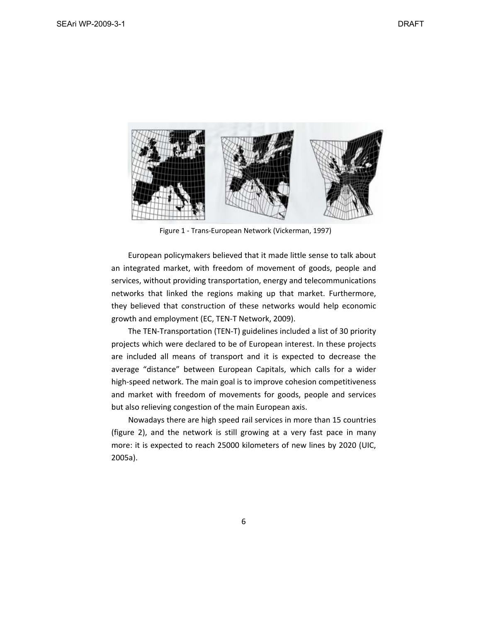

Figure 1 ‐ Trans‐European Network (Vickerman, 1997)

European policymakers believed that it made little sense to talk about an integrated market, with freedom of movement of goods, people and services, without providing transportation, energy and telecommunications networks that linked the regions making up that market. Furthermore, they believed that construction of these networks would help economic growth and employment (EC, TEN‐T Network, 2009).

The TEN‐Transportation (TEN‐T) guidelines included a list of 30 priority projects which were declared to be of European interest. In these projects are included all means of transport and it is expected to decrease the average "distance" between European Capitals, which calls for a wider high-speed network. The main goal is to improve cohesion competitiveness and market with freedom of movements for goods, people and services but also relieving congestion of the main European axis.

Nowadays there are high speed rail services in more than 15 countries (figure 2), and the network is still growing at a very fast pace in many more: it is expected to reach 25000 kilometers of new lines by 2020 (UIC, 2005a).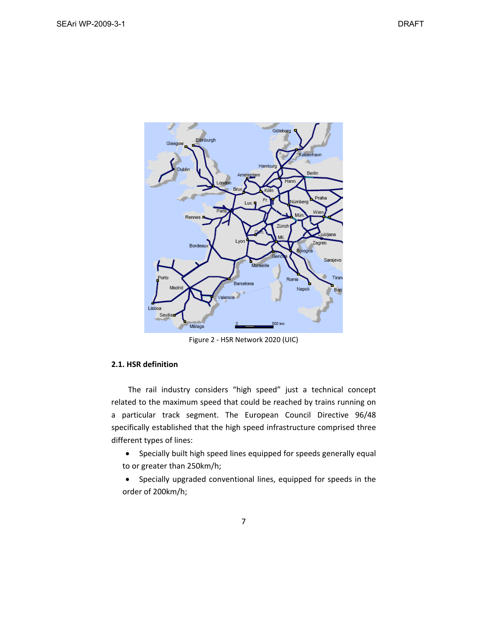

Figure 2 ‐ HSR Network 2020 (UIC)

## **2.1. HSR definition**

The rail industry considers "high speed" just a technical concept related to the maximum speed that could be reached by trains running on a particular track segment. The European Council Directive 96/48 specifically established that the high speed infrastructure comprised three different types of lines:

 Specially built high speed lines equipped for speeds generally equal to or greater than 250km/h;

 Specially upgraded conventional lines, equipped for speeds in the order of 200km/h;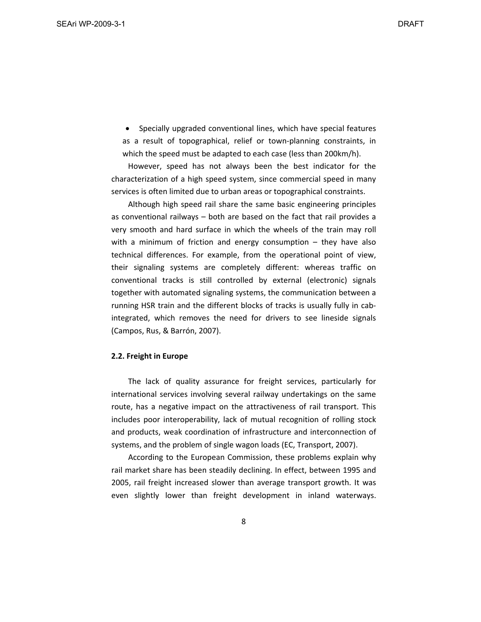• Specially upgraded conventional lines, which have special features as a result of topographical, relief or town‐planning constraints, in which the speed must be adapted to each case (less than 200km/h).

However, speed has not always been the best indicator for the characterization of a high speed system, since commercial speed in many services is often limited due to urban areas or topographical constraints.

Although high speed rail share the same basic engineering principles as conventional railways – both are based on the fact that rail provides a very smooth and hard surface in which the wheels of the train may roll with a minimum of friction and energy consumption  $-$  they have also technical differences. For example, from the operational point of view, their signaling systems are completely different: whereas traffic on conventional tracks is still controlled by external (electronic) signals together with automated signaling systems, the communication between a running HSR train and the different blocks of tracks is usually fully in cab‐ integrated, which removes the need for drivers to see lineside signals (Campos, Rus, & Barrón, 2007).

#### **2.2. Freight in Europe**

The lack of quality assurance for freight services, particularly for international services involving several railway undertakings on the same route, has a negative impact on the attractiveness of rail transport. This includes poor interoperability, lack of mutual recognition of rolling stock and products, weak coordination of infrastructure and interconnection of systems, and the problem of single wagon loads (EC, Transport, 2007).

According to the European Commission, these problems explain why rail market share has been steadily declining. In effect, between 1995 and 2005, rail freight increased slower than average transport growth. It was even slightly lower than freight development in inland waterways.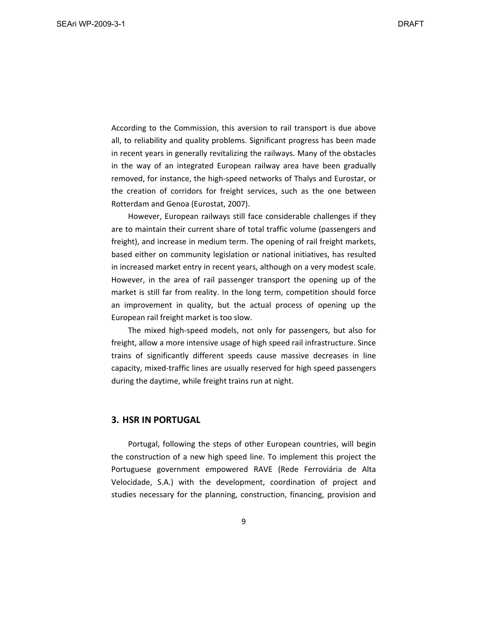According to the Commission, this aversion to rail transport is due above all, to reliability and quality problems. Significant progress has been made in recent years in generally revitalizing the railways. Many of the obstacles in the way of an integrated European railway area have been gradually removed, for instance, the high‐speed networks of Thalys and Eurostar, or the creation of corridors for freight services, such as the one between Rotterdam and Genoa (Eurostat, 2007).

However, European railways still face considerable challenges if they are to maintain their current share of total traffic volume (passengers and freight), and increase in medium term. The opening of rail freight markets, based either on community legislation or national initiatives, has resulted in increased market entry in recent years, although on a very modest scale. However, in the area of rail passenger transport the opening up of the market is still far from reality. In the long term, competition should force an improvement in quality, but the actual process of opening up the European rail freight market is too slow.

The mixed high‐speed models, not only for passengers, but also for freight, allow a more intensive usage of high speed rail infrastructure. Since trains of significantly different speeds cause massive decreases in line capacity, mixed‐traffic lines are usually reserved for high speed passengers during the daytime, while freight trains run at night.

## **3. HSR IN PORTUGAL**

Portugal, following the steps of other European countries, will begin the construction of a new high speed line. To implement this project the Portuguese government empowered RAVE (Rede Ferroviária de Alta Velocidade, S.A.) with the development, coordination of project and studies necessary for the planning, construction, financing, provision and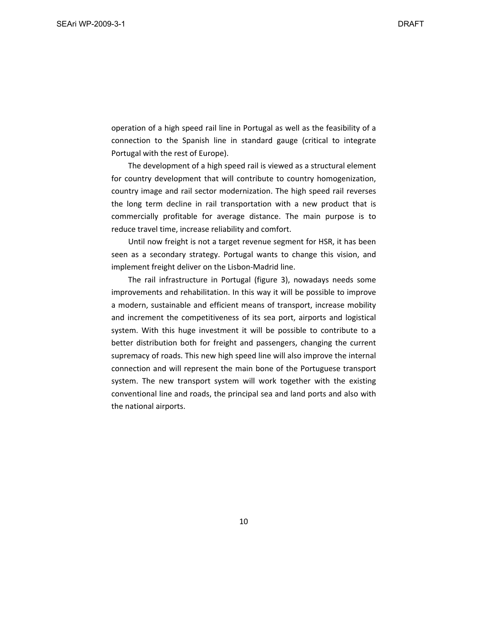operation of a high speed rail line in Portugal as well as the feasibility of a connection to the Spanish line in standard gauge (critical to integrate Portugal with the rest of Europe).

The development of a high speed rail is viewed as a structural element for country development that will contribute to country homogenization, country image and rail sector modernization. The high speed rail reverses the long term decline in rail transportation with a new product that is commercially profitable for average distance. The main purpose is to reduce travel time, increase reliability and comfort.

Until now freight is not a target revenue segment for HSR, it has been seen as a secondary strategy. Portugal wants to change this vision, and implement freight deliver on the Lisbon‐Madrid line.

The rail infrastructure in Portugal (figure 3), nowadays needs some improvements and rehabilitation. In this way it will be possible to improve a modern, sustainable and efficient means of transport, increase mobility and increment the competitiveness of its sea port, airports and logistical system. With this huge investment it will be possible to contribute to a better distribution both for freight and passengers, changing the current supremacy of roads. This new high speed line will also improve the internal connection and will represent the main bone of the Portuguese transport system. The new transport system will work together with the existing conventional line and roads, the principal sea and land ports and also with the national airports.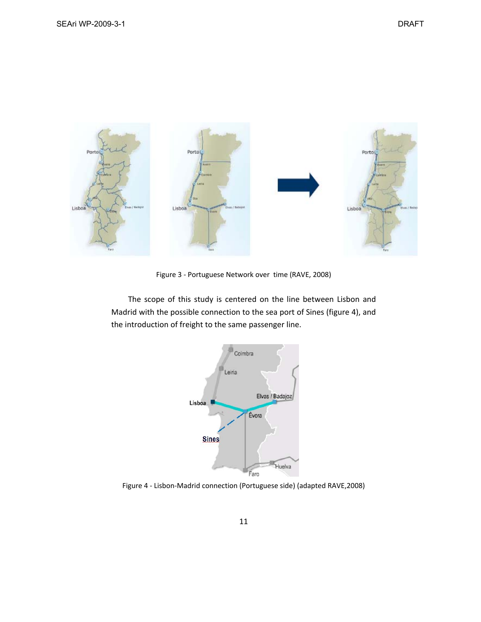

Figure 3 ‐ Portuguese Network over time (RAVE, 2008)

The scope of this study is centered on the line between Lisbon and Madrid with the possible connection to the sea port of Sines (figure 4), and the introduction of freight to the same passenger line.



Figure 4 ‐ Lisbon‐Madrid connection (Portuguese side) (adapted RAVE,2008)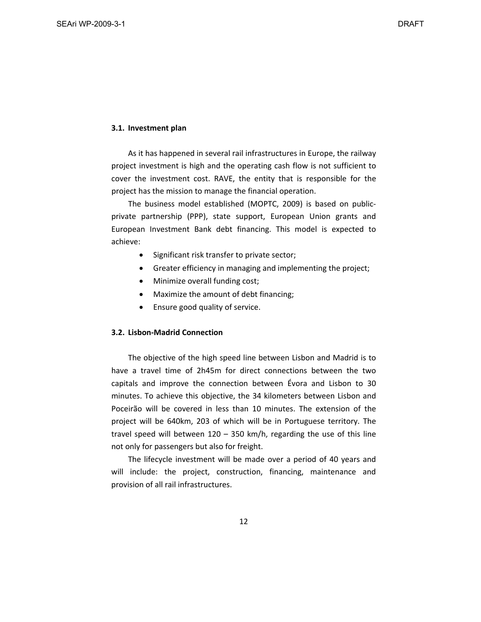#### **3.1. Investment plan**

As it has happened in several rail infrastructures in Europe, the railway project investment is high and the operating cash flow is not sufficient to cover the investment cost. RAVE, the entity that is responsible for the project has the mission to manage the financial operation.

The business model established (MOPTC, 2009) is based on public‐ private partnership (PPP), state support, European Union grants and European Investment Bank debt financing. This model is expected to achieve:

- Significant risk transfer to private sector;
- Greater efficiency in managing and implementing the project;
- Minimize overall funding cost;
- Maximize the amount of debt financing;
- Ensure good quality of service.

## **3.2. Lisbon‐Madrid Connection**

The objective of the high speed line between Lisbon and Madrid is to have a travel time of 2h45m for direct connections between the two capitals and improve the connection between Évora and Lisbon to 30 minutes. To achieve this objective, the 34 kilometers between Lisbon and Poceirão will be covered in less than 10 minutes. The extension of the project will be 640km, 203 of which will be in Portuguese territory. The travel speed will between 120 – 350 km/h, regarding the use of this line not only for passengers but also for freight.

The lifecycle investment will be made over a period of 40 years and will include: the project, construction, financing, maintenance and provision of all rail infrastructures.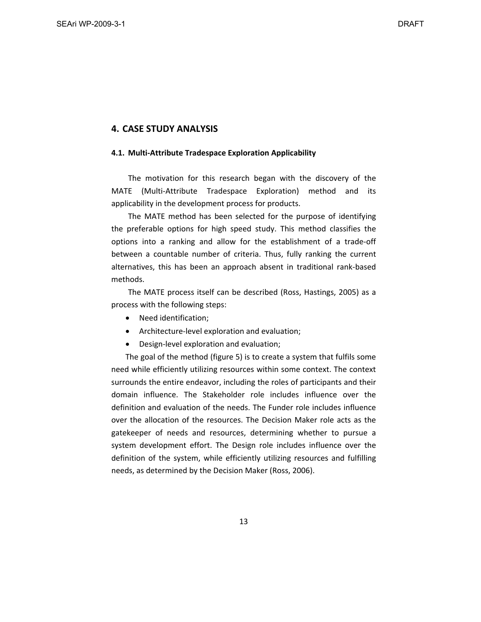## **4. CASE STUDY ANALYSIS**

#### **4.1. Multi‐Attribute Tradespace Exploration Applicability**

The motivation for this research began with the discovery of the MATE (Multi-Attribute Tradespace Exploration) method and its applicability in the development process for products.

The MATE method has been selected for the purpose of identifying the preferable options for high speed study. This method classifies the options into a ranking and allow for the establishment of a trade‐off between a countable number of criteria. Thus, fully ranking the current alternatives, this has been an approach absent in traditional rank‐based methods.

The MATE process itself can be described (Ross, Hastings, 2005) as a process with the following steps:

- Need identification;
- Architecture-level exploration and evaluation;
- Design-level exploration and evaluation;

The goal of the method (figure 5) is to create a system that fulfils some need while efficiently utilizing resources within some context. The context surrounds the entire endeavor, including the roles of participants and their domain influence. The Stakeholder role includes influence over the definition and evaluation of the needs. The Funder role includes influence over the allocation of the resources. The Decision Maker role acts as the gatekeeper of needs and resources, determining whether to pursue a system development effort. The Design role includes influence over the definition of the system, while efficiently utilizing resources and fulfilling needs, as determined by the Decision Maker (Ross, 2006).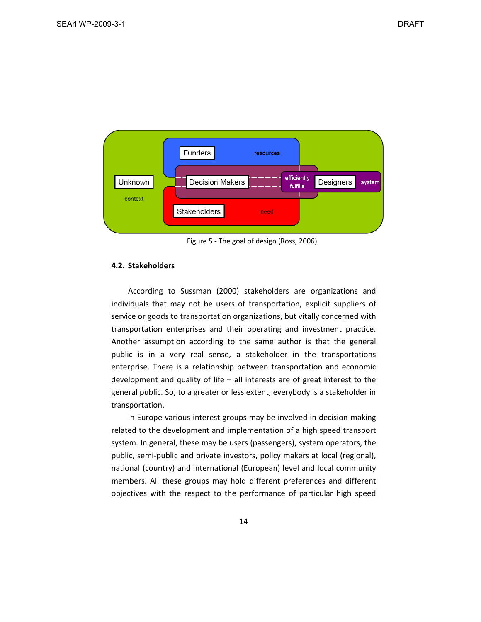

Figure 5 ‐ The goal of design (Ross, 2006)

#### **4.2. Stakeholders**

According to Sussman (2000) stakeholders are organizations and individuals that may not be users of transportation, explicit suppliers of service or goods to transportation organizations, but vitally concerned with transportation enterprises and their operating and investment practice. Another assumption according to the same author is that the general public is in a very real sense, a stakeholder in the transportations enterprise. There is a relationship between transportation and economic development and quality of life – all interests are of great interest to the general public. So, to a greater or less extent, everybody is a stakeholder in transportation.

In Europe various interest groups may be involved in decision‐making related to the development and implementation of a high speed transport system. In general, these may be users (passengers), system operators, the public, semi‐public and private investors, policy makers at local (regional), national (country) and international (European) level and local community members. All these groups may hold different preferences and different objectives with the respect to the performance of particular high speed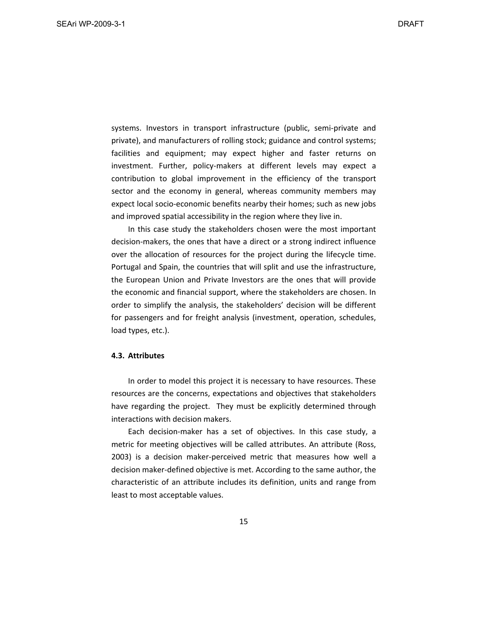systems. Investors in transport infrastructure (public, semi‐private and private), and manufacturers of rolling stock; guidance and control systems; facilities and equipment; may expect higher and faster returns on investment. Further, policy-makers at different levels may expect a contribution to global improvement in the efficiency of the transport sector and the economy in general, whereas community members may expect local socio‐economic benefits nearby their homes; such as new jobs and improved spatial accessibility in the region where they live in.

In this case study the stakeholders chosen were the most important decision‐makers, the ones that have a direct or a strong indirect influence over the allocation of resources for the project during the lifecycle time. Portugal and Spain, the countries that will split and use the infrastructure, the European Union and Private Investors are the ones that will provide the economic and financial support, where the stakeholders are chosen. In order to simplify the analysis, the stakeholders' decision will be different for passengers and for freight analysis (investment, operation, schedules, load types, etc.).

#### **4.3. Attributes**

In order to model this project it is necessary to have resources. These resources are the concerns, expectations and objectives that stakeholders have regarding the project. They must be explicitly determined through interactions with decision makers.

Each decision‐maker has a set of objectives. In this case study, a metric for meeting objectives will be called attributes. An attribute (Ross, 2003) is a decision maker‐perceived metric that measures how well a decision maker‐defined objective is met. According to the same author, the characteristic of an attribute includes its definition, units and range from least to most acceptable values.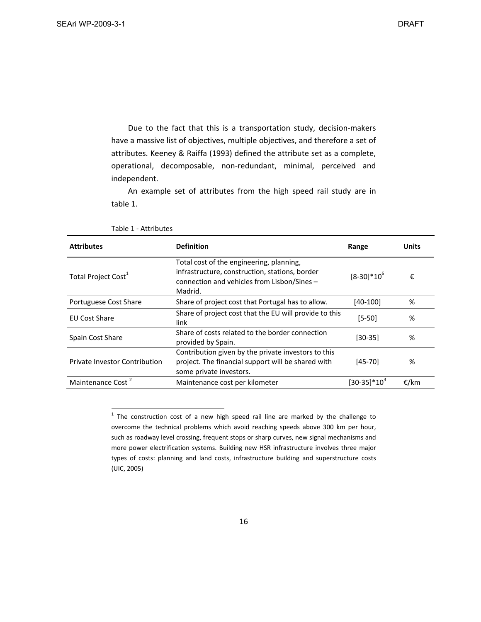Due to the fact that this is a transportation study, decision-makers have a massive list of objectives, multiple objectives, and therefore a set of attributes. Keeney & Raiffa (1993) defined the attribute set as a complete, operational, decomposable, non‐redundant, minimal, perceived and independent.

An example set of attributes from the high speed rail study are in table 1.

| <b>Attributes</b>                    | <b>Definition</b>                                                                                                                                    | Range           | <b>Units</b> |
|--------------------------------------|------------------------------------------------------------------------------------------------------------------------------------------------------|-----------------|--------------|
| Total Project Cost <sup>1</sup>      | Total cost of the engineering, planning,<br>infrastructure, construction, stations, border<br>connection and vehicles from Lisbon/Sines -<br>Madrid. | $[8-30]*10^{6}$ | €            |
| Portuguese Cost Share                | Share of project cost that Portugal has to allow.                                                                                                    | $[40-100]$      | %            |
| <b>EU Cost Share</b>                 | Share of project cost that the EU will provide to this<br>link                                                                                       | $[5 - 50]$      | %            |
| Spain Cost Share                     | Share of costs related to the border connection<br>provided by Spain.                                                                                | $[30-35]$       | %            |
| <b>Private Investor Contribution</b> | Contribution given by the private investors to this<br>project. The financial support will be shared with<br>some private investors.                 | $[45-70]$       | %            |
| Maintenance Cost <sup>2</sup>        | Maintenance cost per kilometer                                                                                                                       | $[30-35]*10^3$  | €/km         |

Table 1 ‐ Attributes

 $1$  The construction cost of a new high speed rail line are marked by the challenge to overcome the technical problems which avoid reaching speeds above 300 km per hour, such as roadway level crossing, frequent stops or sharp curves, new signal mechanisms and more power electrification systems. Building new HSR infrastructure involves three major types of costs: planning and land costs, infrastructure building and superstructure costs (UIC, 2005)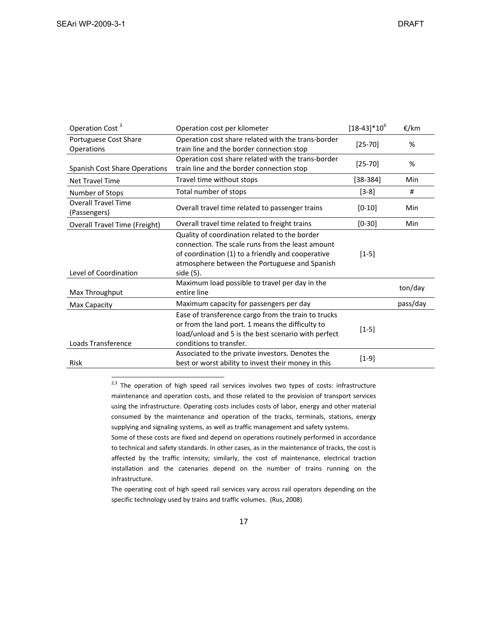| Operation Cost <sup>3</sup>                | Operation cost per kilometer                                                                                                                                                                                         |             |          |  |  |  |
|--------------------------------------------|----------------------------------------------------------------------------------------------------------------------------------------------------------------------------------------------------------------------|-------------|----------|--|--|--|
| Portuguese Cost Share<br>Operations        | Operation cost share related with the trans-border<br>train line and the border connection stop                                                                                                                      | $[25 - 70]$ | %        |  |  |  |
| <b>Spanish Cost Share Operations</b>       | Operation cost share related with the trans-border<br>train line and the border connection stop                                                                                                                      | $[25 - 70]$ | %        |  |  |  |
| <b>Net Travel Time</b>                     | Travel time without stops                                                                                                                                                                                            | $[38-384]$  | Min      |  |  |  |
| Number of Stops                            | Total number of stops                                                                                                                                                                                                | $[3-8]$     | #        |  |  |  |
| <b>Overall Travel Time</b><br>(Passengers) | Overall travel time related to passenger trains                                                                                                                                                                      |             |          |  |  |  |
| <b>Overall Travel Time (Freight)</b>       | $[0-30]$                                                                                                                                                                                                             | Min         |          |  |  |  |
| Level of Coordination                      | Quality of coordination related to the border<br>connection. The scale runs from the least amount<br>of coordination (1) to a friendly and cooperative<br>atmosphere between the Portuguese and Spanish<br>side (5). | $[1-5]$     |          |  |  |  |
| Max Throughput                             | Maximum load possible to travel per day in the<br>entire line                                                                                                                                                        |             | ton/day  |  |  |  |
| Max Capacity                               | Maximum capacity for passengers per day                                                                                                                                                                              |             | pass/day |  |  |  |
| Loads Transference                         | Ease of transference cargo from the train to trucks<br>or from the land port. 1 means the difficulty to<br>load/unload and 5 is the best scenario with perfect<br>conditions to transfer.                            | $[1-5]$     |          |  |  |  |
| <b>Risk</b>                                | Associated to the private investors. Denotes the<br>best or worst ability to invest their money in this                                                                                                              | $[1-9]$     |          |  |  |  |

 $2,3$  The operation of high speed rail services involves two types of costs: infrastructure maintenance and operation costs, and those related to the provision of transport services using the infrastructure. Operating costs includes costs of labor, energy and other material consumed by the maintenance and operation of the tracks, terminals, stations, energy supplying and signaling systems, as well as traffic management and safety systems.

Some of these costs are fixed and depend on operations routinely performed in accordance to technical and safety standards. In other cases, as in the maintenance of tracks, the cost is affected by the traffic intensity; similarly, the cost of maintenance, electrical traction installation and the catenaries depend on the number of trains running on the infrastructure.

The operating cost of high speed rail services vary across rail operators depending on the specific technology used by trains and traffic volumes. (Rus, 2008)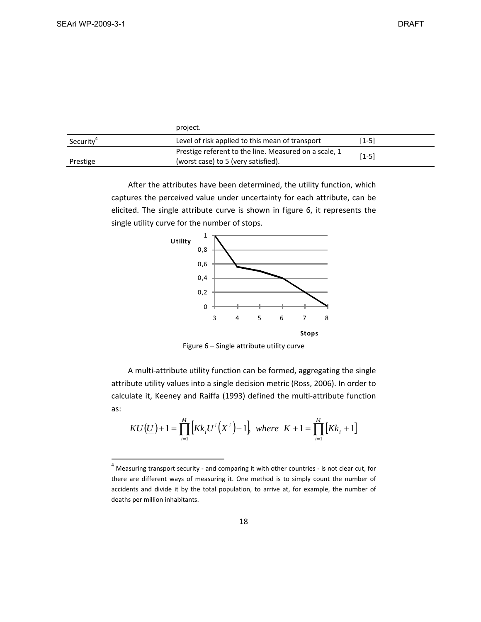|                       | project.                                                                                     |         |
|-----------------------|----------------------------------------------------------------------------------------------|---------|
| Security <sup>4</sup> | Level of risk applied to this mean of transport                                              | $[1-5]$ |
| Prestige              | Prestige referent to the line. Measured on a scale, 1<br>(worst case) to 5 (very satisfied). | $[1-5]$ |

After the attributes have been determined, the utility function, which captures the perceived value under uncertainty for each attribute, can be elicited. The single attribute curve is shown in figure 6, it represents the single utility curve for the number of stops.



Figure 6 – Single attribute utility curve

A multi‐attribute utility function can be formed, aggregating the single attribute utility values into a single decision metric (Ross, 2006). In order to calculate it, Keeney and Raiffa (1993) defined the multi‐attribute function as:

$$
KU(\underline{U})+1=\prod_{i=1}^{M}\left[Kk_{i}U^{i}(X^{i})+1\right] \text{ where } K+1=\prod_{i=1}^{M}\left[Kk_{i}+1\right]
$$

<sup>&</sup>lt;sup>4</sup> Measuring transport security - and comparing it with other countries - is not clear cut, for there are different ways of measuring it. One method is to simply count the number of accidents and divide it by the total population, to arrive at, for example, the number of deaths per million inhabitants.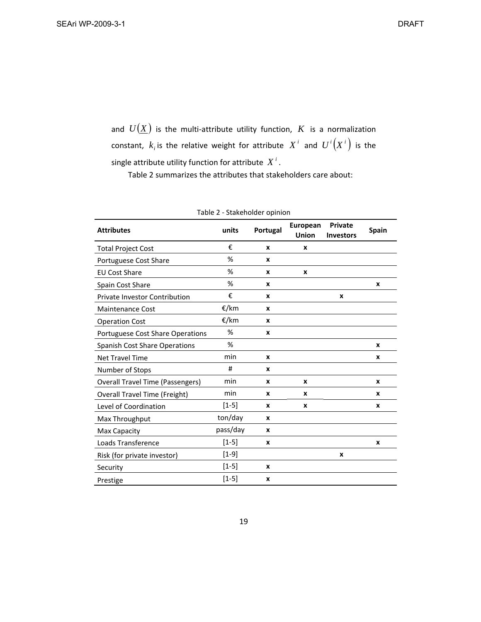and  $U(\underline{X})$  is the multi-attribute utility function,  $K$  is a normalization constant,  $k_i$  is the relative weight for attribute  $X^i$  and  $U^i(X^i)$  is the single attribute utility function for attribute  $X^i$ .

Table 2 summarizes the attributes that stakeholders care about:

| <b>Attributes</b>                       | units<br>Portugal |              | European<br><b>Union</b> | Private<br><b>Investors</b> | <b>Spain</b> |
|-----------------------------------------|-------------------|--------------|--------------------------|-----------------------------|--------------|
| <b>Total Project Cost</b>               | €                 | X            | X                        |                             |              |
| Portuguese Cost Share                   | %                 | X            |                          |                             |              |
| <b>EU Cost Share</b>                    | %                 | X            | x                        |                             |              |
| Spain Cost Share                        | %                 | $\mathbf{x}$ |                          |                             | X            |
| <b>Private Investor Contribution</b>    | €                 | X            |                          | X                           |              |
| <b>Maintenance Cost</b>                 | €/km              | X            |                          |                             |              |
| <b>Operation Cost</b>                   | €/km              | X            |                          |                             |              |
| Portuguese Cost Share Operations        | %                 | X            |                          |                             |              |
| <b>Spanish Cost Share Operations</b>    | %                 |              |                          |                             | X            |
| <b>Net Travel Time</b>                  | min               | x            |                          |                             | x            |
| Number of Stops                         | #                 | X            |                          |                             |              |
| <b>Overall Travel Time (Passengers)</b> | min               | X            | X                        |                             | X            |
| <b>Overall Travel Time (Freight)</b>    | min               | X            | x                        |                             | X            |
| Level of Coordination                   | $[1-5]$           | x            | x                        |                             | X            |
| Max Throughput                          | ton/day           | x            |                          |                             |              |
| Max Capacity                            | pass/day          | X            |                          |                             |              |
| Loads Transference                      | $[1-5]$           | x            |                          |                             | X            |
| Risk (for private investor)             | $[1-9]$           |              |                          | X                           |              |
| Security                                | $[1-5]$           | X            |                          |                             |              |
| Prestige                                | $[1-5]$           | x            |                          |                             |              |

Table 2 ‐ Stakeholder opinion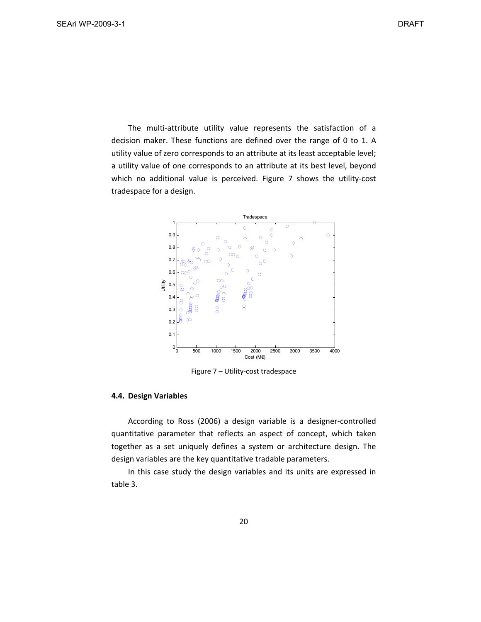The multi-attribute utility value represents the satisfaction of a decision maker. These functions are defined over the range of 0 to 1. A utility value of zero corresponds to an attribute at its least acceptable level; a utility value of one corresponds to an attribute at its best level, beyond which no additional value is perceived. Figure 7 shows the utility-cost tradespace for a design.



Figure 7 – Utility‐cost tradespace

#### **4.4. Design Variables**

According to Ross (2006) a design variable is a designer‐controlled quantitative parameter that reflects an aspect of concept, which taken together as a set uniquely defines a system or architecture design. The design variables are the key quantitative tradable parameters.

In this case study the design variables and its units are expressed in table 3.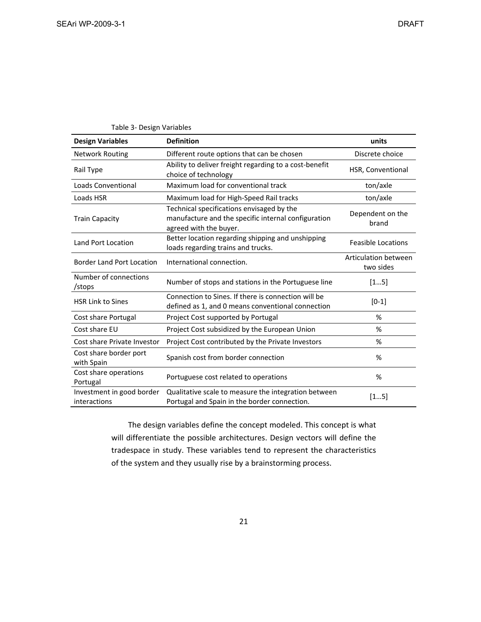| <b>Design Variables</b>                   | <b>Definition</b>                                                                                                          | units                             |
|-------------------------------------------|----------------------------------------------------------------------------------------------------------------------------|-----------------------------------|
| <b>Network Routing</b>                    | Different route options that can be chosen                                                                                 | Discrete choice                   |
| Rail Type                                 | Ability to deliver freight regarding to a cost-benefit<br>choice of technology                                             | HSR, Conventional                 |
| Loads Conventional                        | Maximum load for conventional track                                                                                        | ton/axle                          |
| Loads HSR                                 | Maximum load for High-Speed Rail tracks                                                                                    | ton/axle                          |
| <b>Train Capacity</b>                     | Technical specifications envisaged by the<br>manufacture and the specific internal configuration<br>agreed with the buyer. | Dependent on the<br>brand         |
| Land Port Location                        | Better location regarding shipping and unshipping<br>loads regarding trains and trucks.                                    | <b>Feasible Locations</b>         |
| <b>Border Land Port Location</b>          | International connection.                                                                                                  | Articulation between<br>two sides |
| Number of connections<br>/stops           | Number of stops and stations in the Portuguese line                                                                        | [15]                              |
| <b>HSR Link to Sines</b>                  | Connection to Sines. If there is connection will be<br>defined as 1, and 0 means conventional connection                   | $[0-1]$                           |
| Cost share Portugal                       | Project Cost supported by Portugal                                                                                         | %                                 |
| Cost share EU                             | Project Cost subsidized by the European Union                                                                              | %                                 |
| Cost share Private Investor               | Project Cost contributed by the Private Investors                                                                          | %                                 |
| Cost share border port<br>with Spain      | Spanish cost from border connection                                                                                        | %                                 |
| Cost share operations<br>Portugal         | Portuguese cost related to operations                                                                                      | %                                 |
| Investment in good border<br>interactions | Qualitative scale to measure the integration between<br>Portugal and Spain in the border connection.                       | [15]                              |

Table 3‐ Design Variables

The design variables define the concept modeled. This concept is what will differentiate the possible architectures. Design vectors will define the tradespace in study. These variables tend to represent the characteristics of the system and they usually rise by a brainstorming process.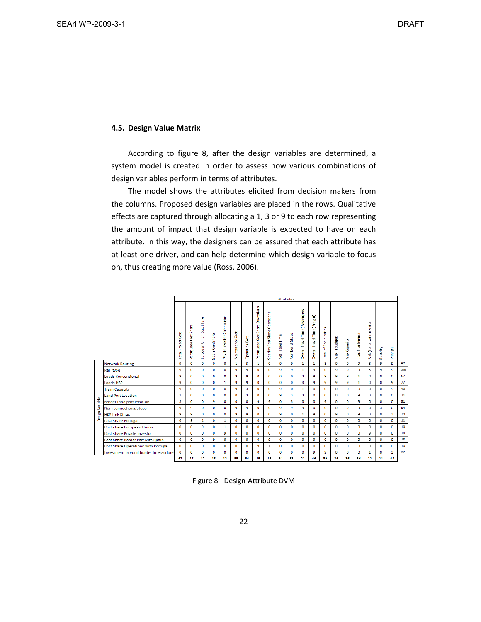#### **4.5. Design Value Matrix**

According to figure 8, after the design variables are determined, a system model is created in order to assess how various combinations of design variables perform in terms of attributes.

The model shows the attributes elicited from decision makers from the columns. Proposed design variables are placed in the rows. Qualitative effects are captured through allocating a 1, 3 or 9 to each row representing the amount of impact that design variable is expected to have on each attribute. In this way, the designers can be assured that each attribute has at least one driver, and can help determine which design variable to focus on, thus creating more value (Ross, 2006).

|                 |                                        | <b>Attributes</b>         |                       |                                 |                  |                               |                     |                       |                                  |                                                 |                 |                      |                                  |                               |                            |               |               |                  |                             |             |              |     |
|-----------------|----------------------------------------|---------------------------|-----------------------|---------------------------------|------------------|-------------------------------|---------------------|-----------------------|----------------------------------|-------------------------------------------------|-----------------|----------------------|----------------------------------|-------------------------------|----------------------------|---------------|---------------|------------------|-----------------------------|-------------|--------------|-----|
|                 |                                        | <b>Total Project Cost</b> | Portuguese Cost Share | Share<br>Cost<br>European Union | Spain Cost Share | Private Invester Contribution | Cost<br>Maintenance | <b>Operation Cost</b> | Portuguese Cost Share Operations | $\mathbf{v}$<br>Operation<br>Spanish Cost Share | Net Travel Time | Stops<br>৳<br>Number | Overall Travel Time (Passengers) | Overall Travel Time (Freight) | Coordination<br>৳<br>Level | Max Troughput | Capacity<br>š | Load Tranference | Risk (for private investor) | Security    | Prestige     |     |
|                 | <b>Network Routing</b>                 | 9                         | $\mathbf 0$           | $\mathbf 0$                     | $\bullet$        | $\bullet$                     | $\mathbf{1}$        | 3                     | 1                                | $\circ$                                         | 9               | 9                    | $\mathbf{1}$                     | $\mathbf{1}$                  | 3                          | O             | $\mathbf 0$   | 9                | 3                           | 9           | 9            | 67  |
|                 | Rail type                              | 9                         | $\mathbf{0}$          | $\mathbf{0}$                    | $\mathbf{0}$     | $\mathbf{0}$                  | 9                   | 9                     | 0                                | $\mathbf{0}$                                    | 9               | 9                    | 1                                | 9                             | 0                          | 9             | 9             | 9                | з                           | 9           | 9            | 103 |
|                 | <b>Loads Conventional</b>              | 9                         | $\mathbf 0$           | $\mathbf 0$                     | $\bullet$        | $\bf{0}$                      | 9                   | 9                     | o                                | $\circ$                                         | $\mathbf 0$     | O                    | 3                                | 9                             | 9                          | 9             | 9             | 1                | o                           | o           | $\mathbf 0$  | 67  |
|                 | Loads HSR                              | 9                         | $\mathbf 0$           | $\mathbf{0}$                    | $\mathbf{0}$     | 1                             | 9                   | 9                     | 0                                | $\mathbf 0$                                     | 0               | 0                    | з                                | 9                             | 9                          | 9             | 9             | 1                | 0                           | 0           | 9            | 77  |
|                 | <b>Train Capacity</b>                  | 9                         | $\mathbf 0$           | $\mathbf 0$                     | $\bullet$        | $\mathbf 0$                   | 9                   | з                     | o                                | $\bullet$                                       | 9               | 0                    | 1                                | $\bullet$                     | 0                          | o             | O             | 0                | o                           | o           | 9            | 40  |
|                 | <b>Land Port Location</b>              | 1                         | $\mathbf 0$           | $\mathbf{0}$                    | 0                | 0                             | $\mathbf 0$         | з                     | 0                                | $\mathbf 0$                                     | 9               | з                    | з                                | 0                             | 0                          | 0             | $\mathbf 0$   | 9                | 3                           | 0           | $\mathbf{0}$ | 31  |
| Design Variable | Border land port location              | з                         | $\mathbf{0}$          | $\bf{0}$                        | 9                | $\bf{0}$                      | $\mathbf 0$         | 0                     | 9                                | 9                                               | $\mathbf 0$     | з                    | $\circ$                          | $\bf{0}$                      | 9                          | o             | 0             | 9                | o                           | $\mathbf 0$ | $\Omega$     | 51  |
|                 | Num connections/stops                  | 9                         | 9                     | $\mathbf 0$                     | $\mathbf{0}$     | $\Omega$                      | 9                   | 9                     | o                                | $\mathbf 0$                                     | 9               | 9                    | 9                                | 0                             | 0                          | 0             | 9             | 9                | o                           | з           | $\mathbf{0}$ | 84  |
|                 | <b>HSR link Sines</b>                  | 9                         | 9                     | $\mathbf 0$                     | $\mathbf 0$      | O                             | 9                   | 9                     | o                                | $\mathbf 0$                                     | 9               | 0                    | 1                                | 9                             | O                          | 9             | $\bullet$     | 9                | з                           | 0           | 3            | 79  |
|                 | Cost share Portugal                    | 0                         | 9                     | $\mathbf{1}$                    | $\mathbf 0$      | $\mathbf{1}$                  | $\mathbf 0$         | 0                     | 0                                | $\mathbf 0$                                     | $\mathbf 0$     | 0                    | $\mathbf{0}$                     | 0                             | 0                          | 0             | $\mathbf 0$   | 0                | 0                           | 0           | $\mathbf{0}$ | 11  |
|                 | Cost share European Union              | 0                         | $\mathbf 0$           | 9                               | $\mathbf 0$      | $\mathbf{1}$                  | $\mathbf 0$         | o                     | $\mathbf 0$                      | $\mathbf 0$                                     | $\mathbf{0}$    | $\mathbf{0}$         | $\bullet$                        | $\mathbf 0$                   | 0                          | o             | $\bullet$     | 0                | o                           | o           | $\mathbf{0}$ | 10  |
|                 | Cost share Private Investor            | $\Omega$                  | $\Omega$              | $\mathbf{0}$                    | $\mathbf{0}$     | 9                             | $\Omega$            | o                     | $\Omega$                         | $\Omega$                                        | $\mathbf{0}$    | $\Omega$             | $\Omega$                         | $\mathbf{0}$                  | o                          | o             | $\Omega$      | o                | ٩                           | o           | $\mathbf{0}$ | 18  |
|                 | Cost Share Border Port with Spain      | $\mathbf{0}$              | $\mathbf{0}$          | $\mathbf{0}$                    | 9                | O                             | $\mathbf{0}$        | o                     | o                                | 9                                               | $\mathbf{0}$    | $\mathbf 0$          | $\mathbf{0}$                     | 0                             | 0                          | o             | $\mathbf{0}$  | 0                | o                           | 0           | $\mathbf{0}$ | 18  |
|                 | Cost Share Operations with Portugal    | $\mathbf 0$               | 0                     | 0                               | $\mathbf 0$      | 0                             | $\circ$             | o                     | 9                                | 1                                               | 0               | 0                    | $\mathbf{0}$                     | O                             | 0                          | 0             | o             | 0                | 0                           | 0           | $\mathbf{0}$ | 10  |
|                 | Investment in good border interactions | 0                         | $\mathbf{0}$          | $\mathbf{0}$                    | $\mathbf{0}$     | 0                             | O                   | 0                     | ٥                                | $\mathbf{0}$                                    | o               | 0                    | $\mathbf 0$                      | 9                             | 9                          | Ō             | o             | 0                | 1                           | o           | 3            | 22  |
|                 |                                        | 67                        | 27                    | 10                              | 18               | 12                            | 55                  | 54                    | 19                               | 19                                              | 54              | 33                   | 22                               | 46                            | 39                         | 36            | 36            | 56               | 22                          | 21          | 42           |     |

Figure 8 ‐ Design‐Attribute DVM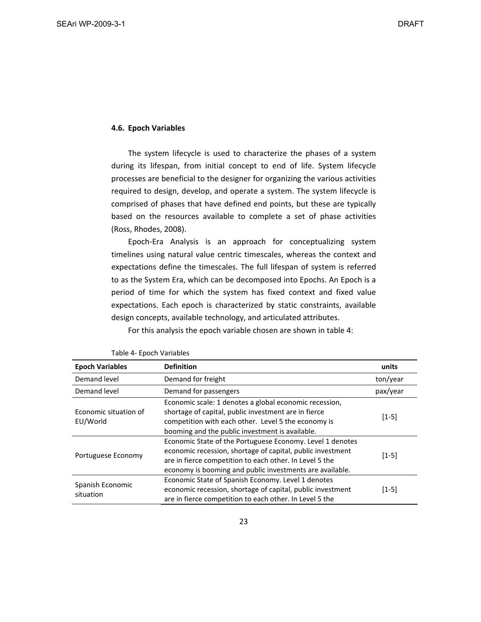#### **4.6. Epoch Variables**

The system lifecycle is used to characterize the phases of a system during its lifespan, from initial concept to end of life. System lifecycle processes are beneficial to the designer for organizing the various activities required to design, develop, and operate a system. The system lifecycle is comprised of phases that have defined end points, but these are typically based on the resources available to complete a set of phase activities (Ross, Rhodes, 2008).

Epoch‐Era Analysis is an approach for conceptualizing system timelines using natural value centric timescales, whereas the context and expectations define the timescales. The full lifespan of system is referred to as the System Era, which can be decomposed into Epochs. An Epoch is a period of time for which the system has fixed context and fixed value expectations. Each epoch is characterized by static constraints, available design concepts, available technology, and articulated attributes.

For this analysis the epoch variable chosen are shown in table 4:

| <b>Epoch Variables</b> | <b>Definition</b>                                          | units    |
|------------------------|------------------------------------------------------------|----------|
| Demand level           | Demand for freight                                         | ton/year |
| Demand level           | Demand for passengers                                      | pax/year |
|                        | Economic scale: 1 denotes a global economic recession,     |          |
| Economic situation of  | shortage of capital, public investment are in fierce       |          |
| EU/World               | competition with each other. Level 5 the economy is        | $[1-5]$  |
|                        | booming and the public investment is available.            |          |
|                        | Economic State of the Portuguese Economy. Level 1 denotes  |          |
| Portuguese Economy     | economic recession, shortage of capital, public investment |          |
|                        | are in fierce competition to each other. In Level 5 the    | $[1-5]$  |
|                        | economy is booming and public investments are available.   |          |
|                        | Economic State of Spanish Economy. Level 1 denotes         |          |
| Spanish Economic       | economic recession, shortage of capital, public investment | $[1-5]$  |
| situation              | are in fierce competition to each other. In Level 5 the    |          |

Table 4‐ Epoch Variables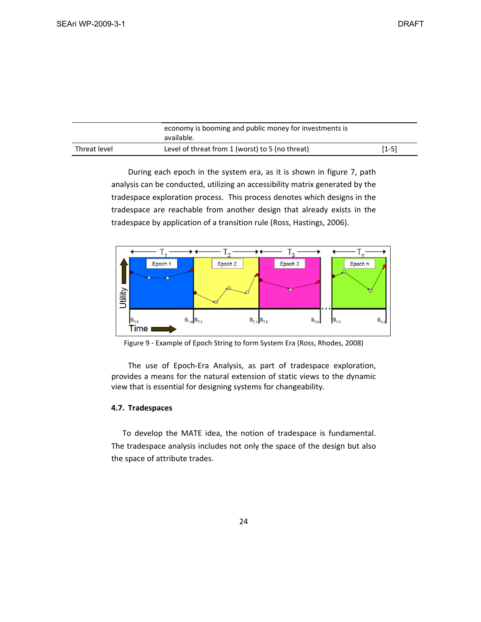|              | economy is booming and public money for investments is<br>available. |       |  |  |
|--------------|----------------------------------------------------------------------|-------|--|--|
| Threat level | Level of threat from 1 (worst) to 5 (no threat)                      | [1-5] |  |  |

During each epoch in the system era, as it is shown in figure 7, path analysis can be conducted, utilizing an accessibility matrix generated by the tradespace exploration process. This process denotes which designs in the tradespace are reachable from another design that already exists in the tradespace by application of a transition rule (Ross, Hastings, 2006).



Figure 9 ‐ Example of Epoch String to form System Era (Ross, Rhodes, 2008)

The use of Epoch‐Era Analysis, as part of tradespace exploration, provides a means for the natural extension of static views to the dynamic view that is essential for designing systems for changeability.

### **4.7. Tradespaces**

To develop the MATE idea, the notion of tradespace is fundamental. The tradespace analysis includes not only the space of the design but also the space of attribute trades.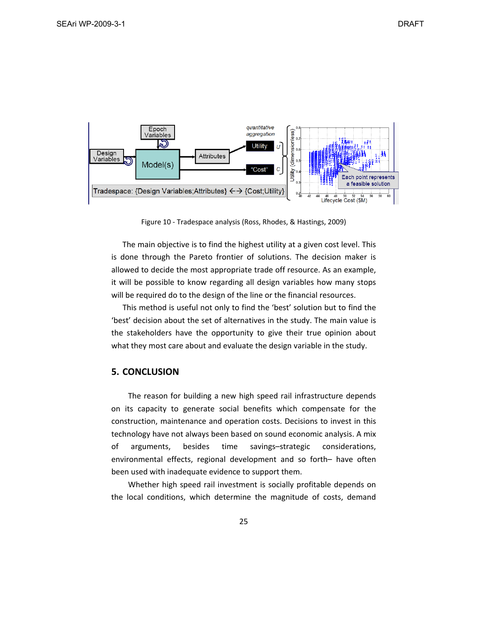

Figure 10 ‐ Tradespace analysis (Ross, Rhodes, & Hastings, 2009)

The main objective is to find the highest utility at a given cost level. This is done through the Pareto frontier of solutions. The decision maker is allowed to decide the most appropriate trade off resource. As an example, it will be possible to know regarding all design variables how many stops will be required do to the design of the line or the financial resources.

This method is useful not only to find the 'best' solution but to find the 'best' decision about the set of alternatives in the study. The main value is the stakeholders have the opportunity to give their true opinion about what they most care about and evaluate the design variable in the study.

## **5. CONCLUSION**

The reason for building a new high speed rail infrastructure depends on its capacity to generate social benefits which compensate for the construction, maintenance and operation costs. Decisions to invest in this technology have not always been based on sound economic analysis. A mix of arguments, besides time savings–strategic considerations, environmental effects, regional development and so forth– have often been used with inadequate evidence to support them.

Whether high speed rail investment is socially profitable depends on the local conditions, which determine the magnitude of costs, demand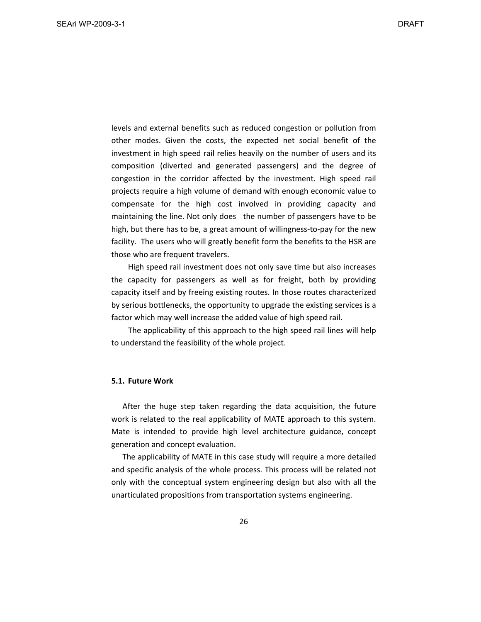levels and external benefits such as reduced congestion or pollution from other modes. Given the costs, the expected net social benefit of the investment in high speed rail relies heavily on the number of users and its composition (diverted and generated passengers) and the degree of congestion in the corridor affected by the investment. High speed rail projects require a high volume of demand with enough economic value to compensate for the high cost involved in providing capacity and maintaining the line. Not only does the number of passengers have to be high, but there has to be, a great amount of willingness-to-pay for the new facility. The users who will greatly benefit form the benefits to the HSR are those who are frequent travelers.

High speed rail investment does not only save time but also increases the capacity for passengers as well as for freight, both by providing capacity itself and by freeing existing routes. In those routes characterized by serious bottlenecks, the opportunity to upgrade the existing services is a factor which may well increase the added value of high speed rail.

The applicability of this approach to the high speed rail lines will help to understand the feasibility of the whole project.

#### **5.1. Future Work**

After the huge step taken regarding the data acquisition, the future work is related to the real applicability of MATE approach to this system. Mate is intended to provide high level architecture guidance, concept generation and concept evaluation.

The applicability of MATE in this case study will require a more detailed and specific analysis of the whole process. This process will be related not only with the conceptual system engineering design but also with all the unarticulated propositions from transportation systems engineering.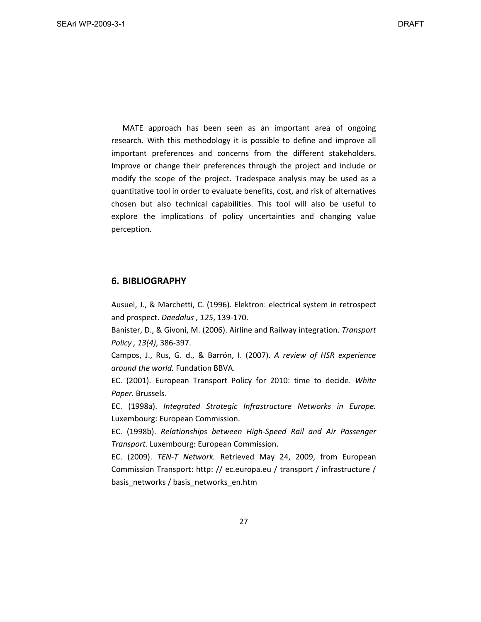MATE approach has been seen as an important area of ongoing research. With this methodology it is possible to define and improve all important preferences and concerns from the different stakeholders. Improve or change their preferences through the project and include or modify the scope of the project. Tradespace analysis may be used as a quantitative tool in order to evaluate benefits, cost, and risk of alternatives chosen but also technical capabilities. This tool will also be useful to explore the implications of policy uncertainties and changing value perception.

## **6. BIBLIOGRAPHY**

Ausuel, J., & Marchetti, C. (1996). Elektron: electrical system in retrospect and prospect. *Daedalus , 125*, 139‐170.

Banister, D., & Givoni, M. (2006). Airline and Railway integration. *Transport Policy , 13(4)*, 386‐397.

Campos, J., Rus, G. d., & Barrón, I. (2007). *A review of HSR experience around the world.* Fundation BBVA.

EC. (2001). European Transport Policy for 2010: time to decide. *White Paper.* Brussels.

EC. (1998a). *Integrated Strategic Infrastructure Networks in Europe.* Luxembourg: European Commission.

EC. (1998b). *Relationships between High‐Speed Rail and Air Passenger Transport.* Luxembourg: European Commission.

EC. (2009). *TEN‐T Network.* Retrieved May 24, 2009, from European Commission Transport: http: // ec.europa.eu / transport / infrastructure / basis\_networks / basis\_networks\_en.htm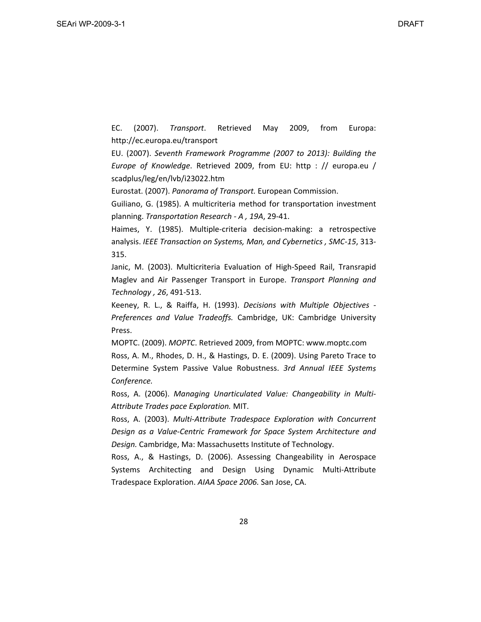EC. (2007). *Transport*. Retrieved May 2009, from Europa: http://ec.europa.eu/transport

EU. (2007). *Seventh Framework Programme (2007 to 2013): Building the Europe of Knowledge*. Retrieved 2009, from EU: http : // europa.eu / scadplus/leg/en/lvb/i23022.htm

Eurostat. (2007). *Panorama of Transport.* European Commission.

Guiliano, G. (1985). A multicriteria method for transportation investment planning. *Transportation Research ‐ A , 19A*, 29‐41.

Haimes, Y. (1985). Multiple-criteria decision-making: a retrospective analysis. *IEEE Transaction on Systems, Man, and Cybernetics , SMC‐15*, 313‐ 315.

Janic, M. (2003). Multicriteria Evaluation of High‐Speed Rail, Transrapid Maglev and Air Passenger Transport in Europe. *Transport Planning and Technology , 26*, 491‐513.

Keeney, R. L., & Raiffa, H. (1993). *Decisions with Multiple Objectives ‐ Preferences and Value Tradeoffs.* Cambridge, UK: Cambridge University Press.

MOPTC. (2009). *MOPTC*. Retrieved 2009, from MOPTC: www.moptc.com Ross, A. M., Rhodes, D. H., & Hastings, D. E. (2009). Using Pareto Trace to Determine System Passive Value Robustness. *3rd Annual IEEE Systems Conference.*

Ross, A. (2006). *Managing Unarticulated Value: Changeability in Multi‐ Attribute Trades pace Exploration.* MIT.

Ross, A. (2003). *Multi‐Attribute Tradespace Exploration with Concurrent Design as a Value‐Centric Framework for Space System Architecture and Design.* Cambridge, Ma: Massachusetts Institute of Technology.

Ross, A., & Hastings, D. (2006). Assessing Changeability in Aerospace Systems Architecting and Design Using Dynamic Multi‐Attribute Tradespace Exploration. *AIAA Space 2006.* San Jose, CA.